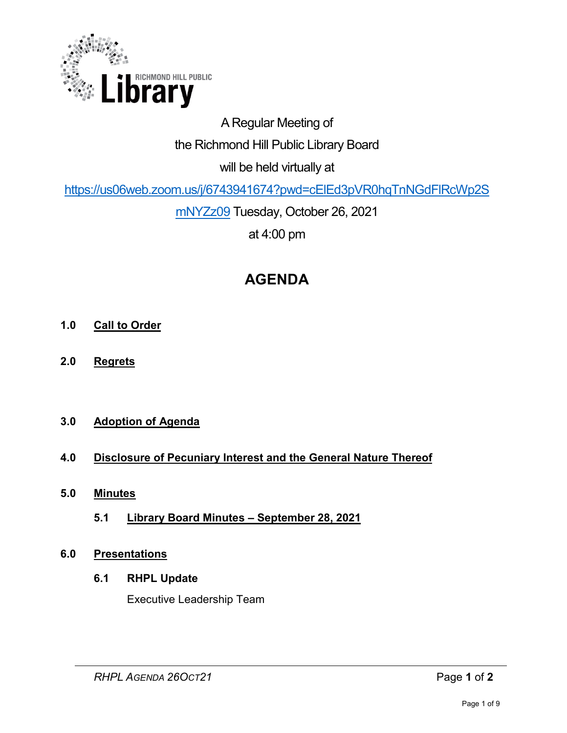

# A Regular Meeting of the Richmond Hill Public Library Board will be held virtually at

[https://us06web.zoom.us/j/6743941674?pwd=cElEd3pVR0hqTnNGdFlRcWp2S](https://us06web.zoom.us/j/6743941674?pwd=cElEd3pVR0hqTnNGdFlRcWp2SmNYZz09)

[mNYZz09](https://us06web.zoom.us/j/6743941674?pwd=cElEd3pVR0hqTnNGdFlRcWp2SmNYZz09) Tuesday, October 26, 2021

at 4:00 pm

# **AGENDA**

- **1.0 Call to Order**
- **2.0 Regrets**

# **3.0 Adoption of Agenda**

# **4.0 Disclosure of Pecuniary Interest and the General Nature Thereof**

- **5.0 Minutes** 
	- **5.1 Library Board Minutes September 28, 2021**

## **6.0 Presentations**

## **6.1 RHPL Update**

Executive Leadership Team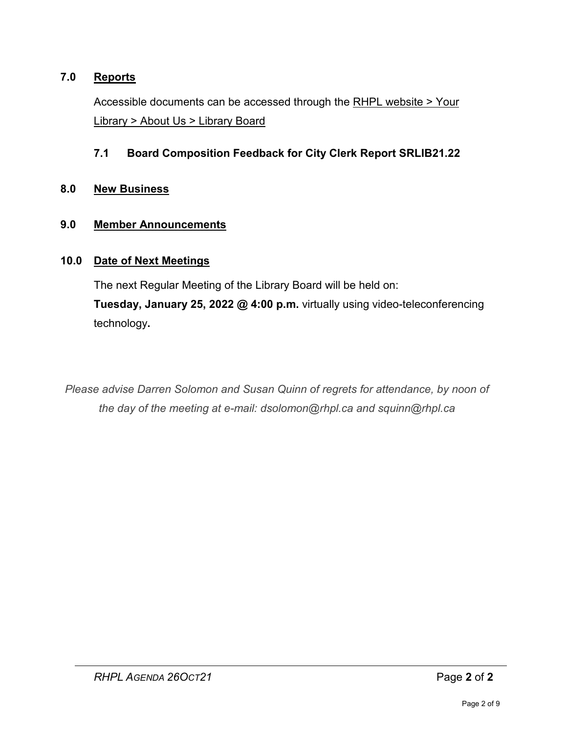## **7.0 Reports**

Accessible documents can be accessed through the [RHPL website > Your](https://www.rhpl.ca/your-library/about-us/library-board)  Library [> About Us > Library Board](https://www.rhpl.ca/your-library/about-us/library-board)

## **7.1 Board Composition Feedback for City Clerk Report SRLIB21.22**

#### **8.0 New Business**

#### **9.0 Member Announcements**

#### **10.0 Date of Next Meetings**

The next Regular Meeting of the Library Board will be held on: **Tuesday, January 25, 2022 @ 4:00 p.m.** virtually using video-teleconferencing technology**.** 

*Please advise Darren Solomon and Susan Quinn of regrets for attendance, by noon of the day of the meeting at e-mail: dsolomon@rhpl.ca and squinn@rhpl.ca*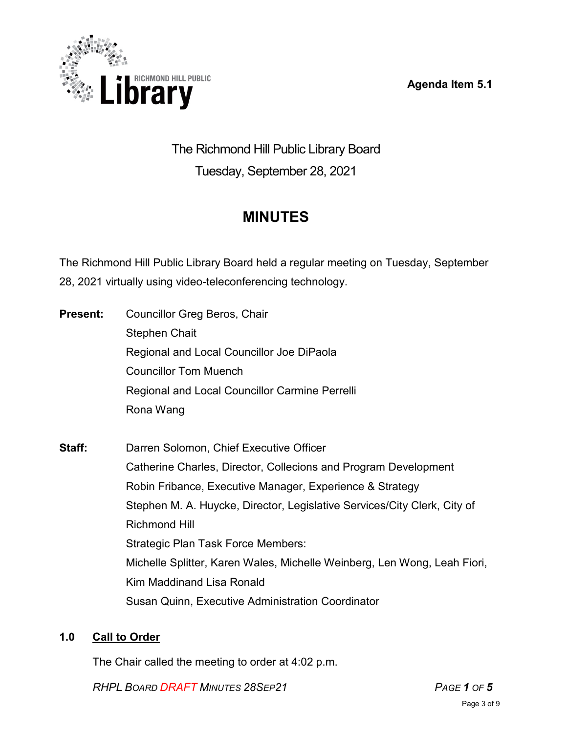**Agenda Item 5.1** 



The Richmond Hill Public Library Board Tuesday, September 28, 2021

# **MINUTES**

The Richmond Hill Public Library Board held a regular meeting on Tuesday, September 28, 2021 virtually using video-teleconferencing technology.

| <b>Present:</b> | <b>Councillor Greg Beros, Chair</b>                                      |
|-----------------|--------------------------------------------------------------------------|
|                 | <b>Stephen Chait</b>                                                     |
|                 | Regional and Local Councillor Joe DiPaola                                |
|                 | <b>Councillor Tom Muench</b>                                             |
|                 | Regional and Local Councillor Carmine Perrelli                           |
|                 | Rona Wang                                                                |
| Staff:          | Darren Solomon, Chief Executive Officer                                  |
|                 | Catherine Charles, Director, Collecions and Program Development          |
|                 | Robin Fribance, Executive Manager, Experience & Strategy                 |
|                 | Stephen M. A. Huycke, Director, Legislative Services/City Clerk, City of |
|                 | <b>Richmond Hill</b>                                                     |
|                 | <b>Strategic Plan Task Force Members:</b>                                |
|                 | Michelle Splitter, Karen Wales, Michelle Weinberg, Len Wong, Leah Fiori, |
|                 | <b>Kim Maddinand Lisa Ronald</b>                                         |
|                 | <b>Susan Quinn, Executive Administration Coordinator</b>                 |

# **1.0 Call to Order**

The Chair called the meeting to order at 4:02 p.m.

*RHPL BOARD DRAFT MINUTES 28SEP21 PAGE 1 OF 5*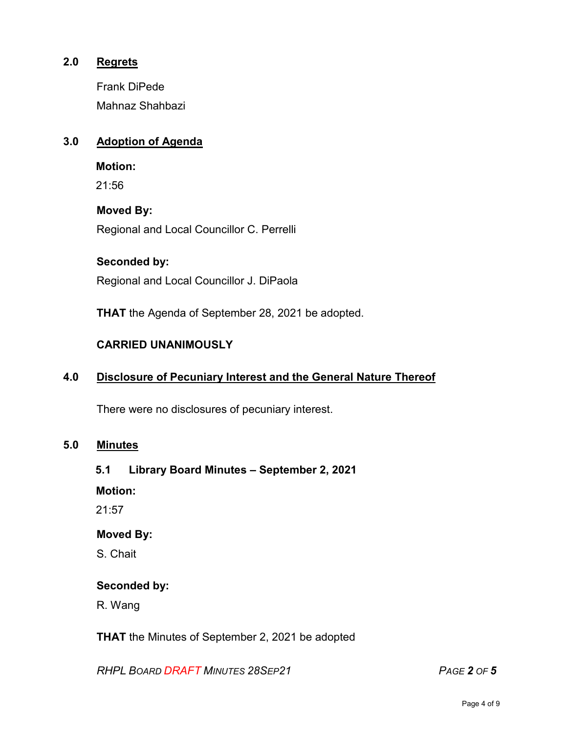## **2.0 Regrets**

Frank DiPede Mahnaz Shahbazi

## **3.0 Adoption of Agenda**

**Motion:** 

21:56

## **Moved By:**

Regional and Local Councillor C. Perrelli

#### **Seconded by:**

Regional and Local Councillor J. DiPaola

**THAT** the Agenda of September 28, 2021 be adopted.

## **CARRIED UNANIMOUSLY**

## **4.0 Disclosure of Pecuniary Interest and the General Nature Thereof**

There were no disclosures of pecuniary interest.

#### **5.0 Minutes**

## **5.1 Library Board Minutes – September 2, 2021**

**Motion:**

21:57

## **Moved By:**

S. Chait

## **Seconded by:**

R. Wang

**THAT** the Minutes of September 2, 2021 be adopted

*RHPL BOARD DRAFT MINUTES 28SEP21 PAGE 2 OF 5*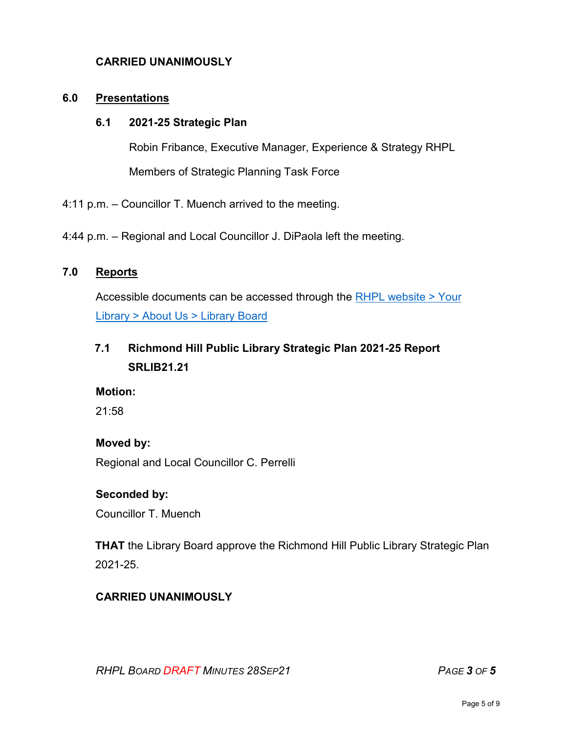## **CARRIED UNANIMOUSLY**

#### **6.0 Presentations**

#### **6.1 2021-25 Strategic Plan**

Robin Fribance, Executive Manager, Experience & Strategy RHPL Members of Strategic Planning Task Force

4:11 p.m. – Councillor T. Muench arrived to the meeting.

4:44 p.m. – Regional and Local Councillor J. DiPaola left the meeting.

## **7.0 Reports**

Accessible documents can be accessed through the [RHPL website > Your](https://www.rhpl.ca/your-library/about-us/library-board)  Library [> About Us > Library](https://www.rhpl.ca/your-library/about-us/library-board) Board

# **7.1 Richmond Hill Public Library Strategic Plan 2021-25 Report SRLIB21.21**

#### **Motion:**

21:58

#### **Moved by:**

Regional and Local Councillor C. Perrelli

#### **Seconded by:**

Councillor T. Muench

**THAT** the Library Board approve the Richmond Hill Public Library Strategic Plan 2021-25.

## **CARRIED UNANIMOUSLY**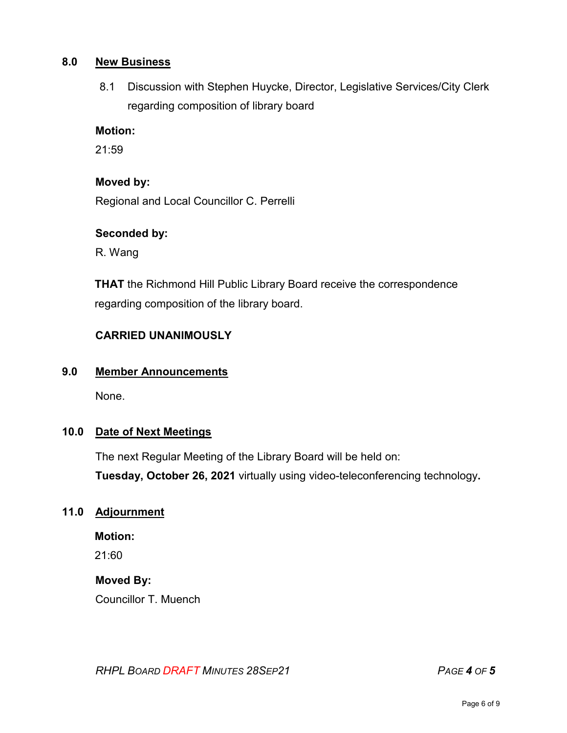#### **8.0 New Business**

8.1 Discussion with Stephen Huycke, Director, Legislative Services/City Clerk regarding composition of library board

#### **Motion:**

 $21:59$ 

## **Moved by:**

Regional and Local Councillor C. Perrelli

#### **Seconded by:**

R. Wang

**THAT** the Richmond Hill Public Library Board receive the correspondence regarding composition of the library board.

## **CARRIED UNANIMOUSLY**

## **9.0 Member Announcements**

None.

## **10.0 Date of Next Meetings**

The next Regular Meeting of the Library Board will be held on: **Tuesday, October 26, 2021** virtually using video-teleconferencing technology**.** 

## **11.0 Adjournment**

**Motion:** 

21:60

## **Moved By:**

Councillor T. Muench

*RHPL BOARD DRAFT MINUTES 28SEP21 PAGE 4 OF 5*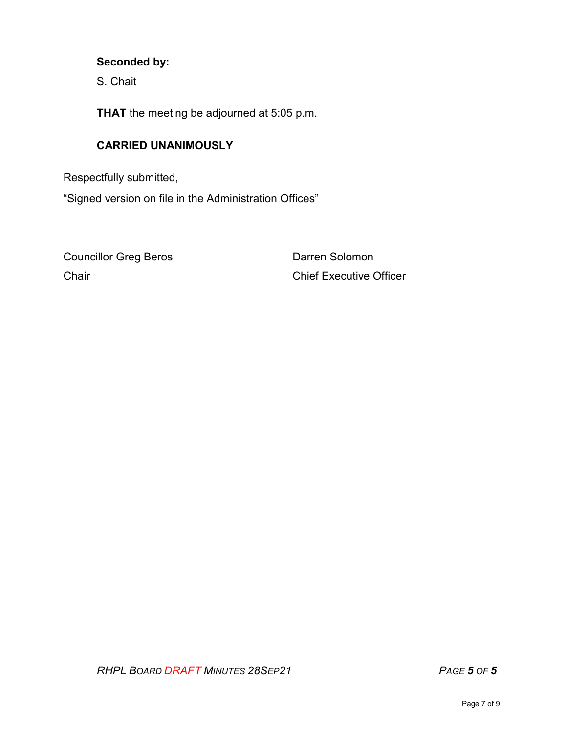## **Seconded by:**

S. Chait

**THAT** the meeting be adjourned at 5:05 p.m.

## **CARRIED UNANIMOUSLY**

Respectfully submitted,

"Signed version on file in the Administration Offices"

Councillor Greg Beros **Darren Solomon** 

Chair Chief Executive Officer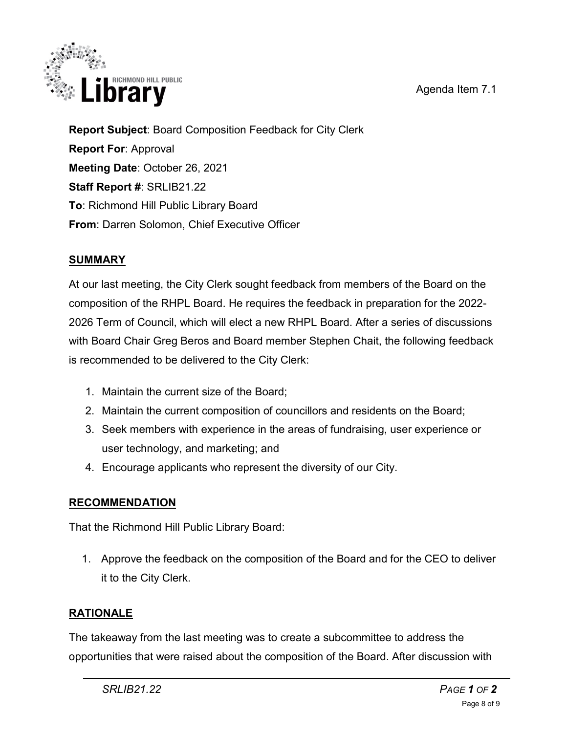Agenda Item 7.1



**Report Subject**: Board Composition Feedback for City Clerk **Report For**: Approval **Meeting Date**: October 26, 2021 **Staff Report #**: SRLIB21.22 **To**: Richmond Hill Public Library Board **From**: Darren Solomon, Chief Executive Officer

# **SUMMARY**

At our last meeting, the City Clerk sought feedback from members of the Board on the composition of the RHPL Board. He requires the feedback in preparation for the 2022- 2026 Term of Council, which will elect a new RHPL Board. After a series of discussions with Board Chair Greg Beros and Board member Stephen Chait, the following feedback is recommended to be delivered to the City Clerk:

- 1. Maintain the current size of the Board;
- 2. Maintain the current composition of councillors and residents on the Board;
- 3. Seek members with experience in the areas of fundraising, user experience or user technology, and marketing; and
- 4. Encourage applicants who represent the diversity of our City.

# **RECOMMENDATION**

That the Richmond Hill Public Library Board:

1. Approve the feedback on the composition of the Board and for the CEO to deliver it to the City Clerk.

# **RATIONALE**

The takeaway from the last meeting was to create a subcommittee to address the opportunities that were raised about the composition of the Board. After discussion with